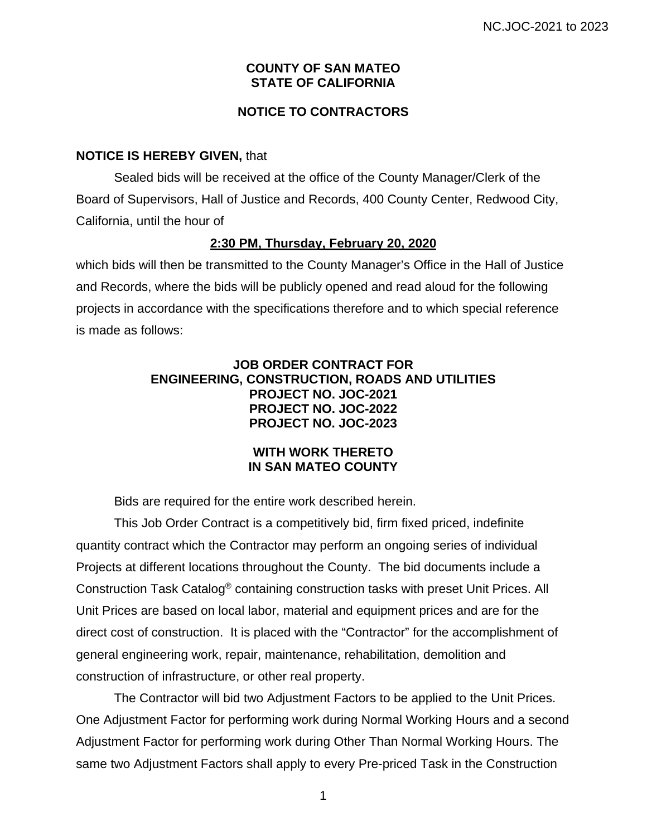### **COUNTY OF SAN MATEO STATE OF CALIFORNIA**

# **NOTICE TO CONTRACTORS**

## **NOTICE IS HEREBY GIVEN,** that

Sealed bids will be received at the office of the County Manager/Clerk of the Board of Supervisors, Hall of Justice and Records, 400 County Center, Redwood City, California, until the hour of

## **2:30 PM, Thursday, February 20, 2020**

which bids will then be transmitted to the County Manager's Office in the Hall of Justice and Records, where the bids will be publicly opened and read aloud for the following projects in accordance with the specifications therefore and to which special reference is made as follows:

# **JOB ORDER CONTRACT FOR ENGINEERING, CONSTRUCTION, ROADS AND UTILITIES PROJECT NO. JOC-2021 PROJECT NO. JOC-2022 PROJECT NO. JOC-2023**

#### **WITH WORK THERETO IN SAN MATEO COUNTY**

Bids are required for the entire work described herein.

This Job Order Contract is a competitively bid, firm fixed priced, indefinite quantity contract which the Contractor may perform an ongoing series of individual Projects at different locations throughout the County. The bid documents include a Construction Task Catalog® containing construction tasks with preset Unit Prices. All Unit Prices are based on local labor, material and equipment prices and are for the direct cost of construction. It is placed with the "Contractor" for the accomplishment of general engineering work, repair, maintenance, rehabilitation, demolition and construction of infrastructure, or other real property.

The Contractor will bid two Adjustment Factors to be applied to the Unit Prices. One Adjustment Factor for performing work during Normal Working Hours and a second Adjustment Factor for performing work during Other Than Normal Working Hours. The same two Adjustment Factors shall apply to every Pre-priced Task in the Construction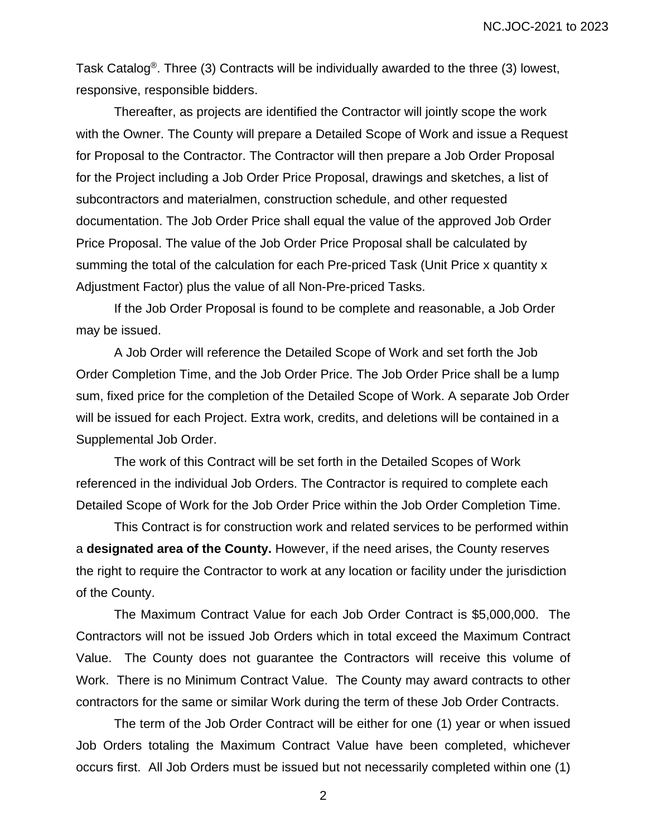Task Catalog®. Three (3) Contracts will be individually awarded to the three (3) lowest, responsive, responsible bidders.

Thereafter, as projects are identified the Contractor will jointly scope the work with the Owner. The County will prepare a Detailed Scope of Work and issue a Request for Proposal to the Contractor. The Contractor will then prepare a Job Order Proposal for the Project including a Job Order Price Proposal, drawings and sketches, a list of subcontractors and materialmen, construction schedule, and other requested documentation. The Job Order Price shall equal the value of the approved Job Order Price Proposal. The value of the Job Order Price Proposal shall be calculated by summing the total of the calculation for each Pre-priced Task (Unit Price x quantity x Adjustment Factor) plus the value of all Non-Pre-priced Tasks.

If the Job Order Proposal is found to be complete and reasonable, a Job Order may be issued.

A Job Order will reference the Detailed Scope of Work and set forth the Job Order Completion Time, and the Job Order Price. The Job Order Price shall be a lump sum, fixed price for the completion of the Detailed Scope of Work. A separate Job Order will be issued for each Project. Extra work, credits, and deletions will be contained in a Supplemental Job Order.

The work of this Contract will be set forth in the Detailed Scopes of Work referenced in the individual Job Orders. The Contractor is required to complete each Detailed Scope of Work for the Job Order Price within the Job Order Completion Time.

This Contract is for construction work and related services to be performed within a **designated area of the County.** However, if the need arises, the County reserves the right to require the Contractor to work at any location or facility under the jurisdiction of the County.

The Maximum Contract Value for each Job Order Contract is \$5,000,000. The Contractors will not be issued Job Orders which in total exceed the Maximum Contract Value. The County does not guarantee the Contractors will receive this volume of Work. There is no Minimum Contract Value. The County may award contracts to other contractors for the same or similar Work during the term of these Job Order Contracts.

The term of the Job Order Contract will be either for one (1) year or when issued Job Orders totaling the Maximum Contract Value have been completed, whichever occurs first. All Job Orders must be issued but not necessarily completed within one (1)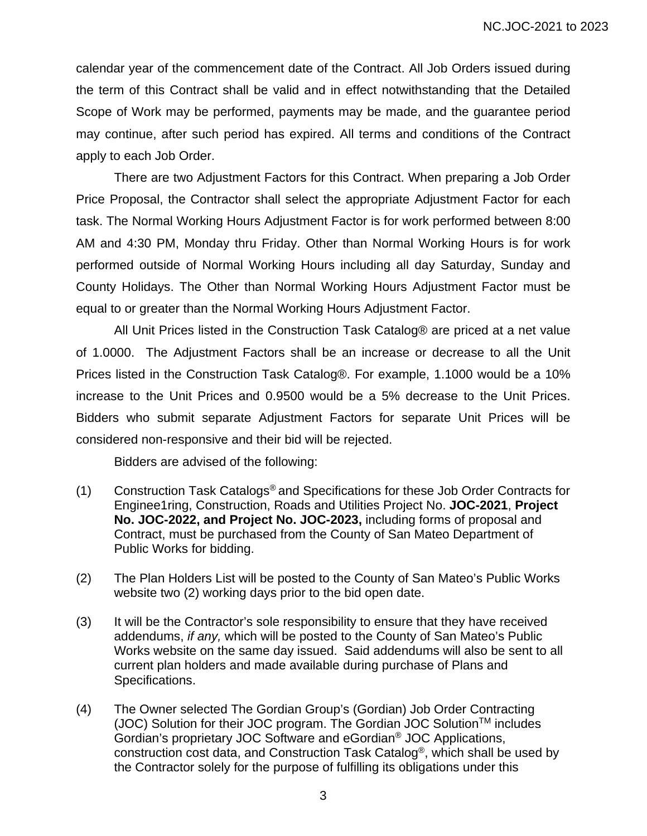calendar year of the commencement date of the Contract. All Job Orders issued during the term of this Contract shall be valid and in effect notwithstanding that the Detailed Scope of Work may be performed, payments may be made, and the guarantee period may continue, after such period has expired. All terms and conditions of the Contract apply to each Job Order.

There are two Adjustment Factors for this Contract. When preparing a Job Order Price Proposal, the Contractor shall select the appropriate Adjustment Factor for each task. The Normal Working Hours Adjustment Factor is for work performed between 8:00 AM and 4:30 PM, Monday thru Friday. Other than Normal Working Hours is for work performed outside of Normal Working Hours including all day Saturday, Sunday and County Holidays. The Other than Normal Working Hours Adjustment Factor must be equal to or greater than the Normal Working Hours Adjustment Factor.

All Unit Prices listed in the Construction Task Catalog® are priced at a net value of 1.0000. The Adjustment Factors shall be an increase or decrease to all the Unit Prices listed in the Construction Task Catalog®. For example, 1.1000 would be a 10% increase to the Unit Prices and 0.9500 would be a 5% decrease to the Unit Prices. Bidders who submit separate Adjustment Factors for separate Unit Prices will be considered non-responsive and their bid will be rejected.

Bidders are advised of the following:

- (1) Construction Task Catalogs® and Specifications for these Job Order Contracts for Enginee1ring, Construction, Roads and Utilities Project No. **JOC-2021**, **Project No. JOC-2022, and Project No. JOC-2023,** including forms of proposal and Contract, must be purchased from the County of San Mateo Department of Public Works for bidding.
- (2) The Plan Holders List will be posted to the County of San Mateo's Public Works website two (2) working days prior to the bid open date.
- (3) It will be the Contractor's sole responsibility to ensure that they have received addendums, *if any,* which will be posted to the County of San Mateo's Public Works website on the same day issued. Said addendums will also be sent to all current plan holders and made available during purchase of Plans and Specifications.
- (4) The Owner selected The Gordian Group's (Gordian) Job Order Contracting  $(JOC)$  Solution for their JOC program. The Gordian JOC Solution<sup>TM</sup> includes Gordian's proprietary JOC Software and eGordian® JOC Applications, construction cost data, and Construction Task Catalog®, which shall be used by the Contractor solely for the purpose of fulfilling its obligations under this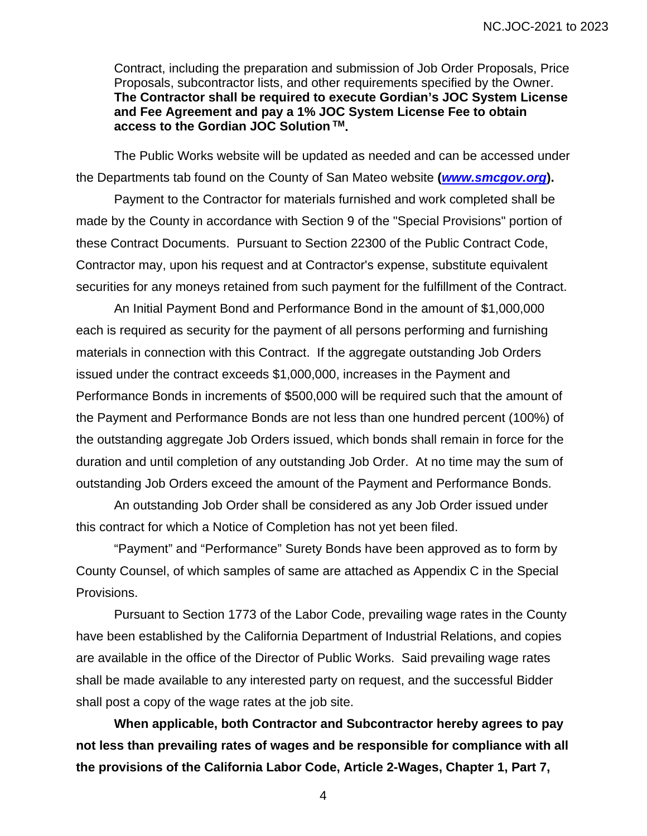Contract, including the preparation and submission of Job Order Proposals, Price Proposals, subcontractor lists, and other requirements specified by the Owner. **The Contractor shall be required to execute Gordian's JOC System License and Fee Agreement and pay a 1% JOC System License Fee to obtain access to the Gordian JOC Solution TM.**

The Public Works website will be updated as needed and can be accessed under the Departments tab found on the County of San Mateo website **(***www.smcgov.org***).** 

Payment to the Contractor for materials furnished and work completed shall be made by the County in accordance with Section 9 of the "Special Provisions" portion of these Contract Documents. Pursuant to Section 22300 of the Public Contract Code, Contractor may, upon his request and at Contractor's expense, substitute equivalent securities for any moneys retained from such payment for the fulfillment of the Contract.

An Initial Payment Bond and Performance Bond in the amount of \$1,000,000 each is required as security for the payment of all persons performing and furnishing materials in connection with this Contract. If the aggregate outstanding Job Orders issued under the contract exceeds \$1,000,000, increases in the Payment and Performance Bonds in increments of \$500,000 will be required such that the amount of the Payment and Performance Bonds are not less than one hundred percent (100%) of the outstanding aggregate Job Orders issued, which bonds shall remain in force for the duration and until completion of any outstanding Job Order. At no time may the sum of outstanding Job Orders exceed the amount of the Payment and Performance Bonds.

An outstanding Job Order shall be considered as any Job Order issued under this contract for which a Notice of Completion has not yet been filed.

"Payment" and "Performance" Surety Bonds have been approved as to form by County Counsel, of which samples of same are attached as Appendix C in the Special Provisions.

Pursuant to Section 1773 of the Labor Code, prevailing wage rates in the County have been established by the California Department of Industrial Relations, and copies are available in the office of the Director of Public Works. Said prevailing wage rates shall be made available to any interested party on request, and the successful Bidder shall post a copy of the wage rates at the job site.

**When applicable, both Contractor and Subcontractor hereby agrees to pay not less than prevailing rates of wages and be responsible for compliance with all the provisions of the California Labor Code, Article 2-Wages, Chapter 1, Part 7,**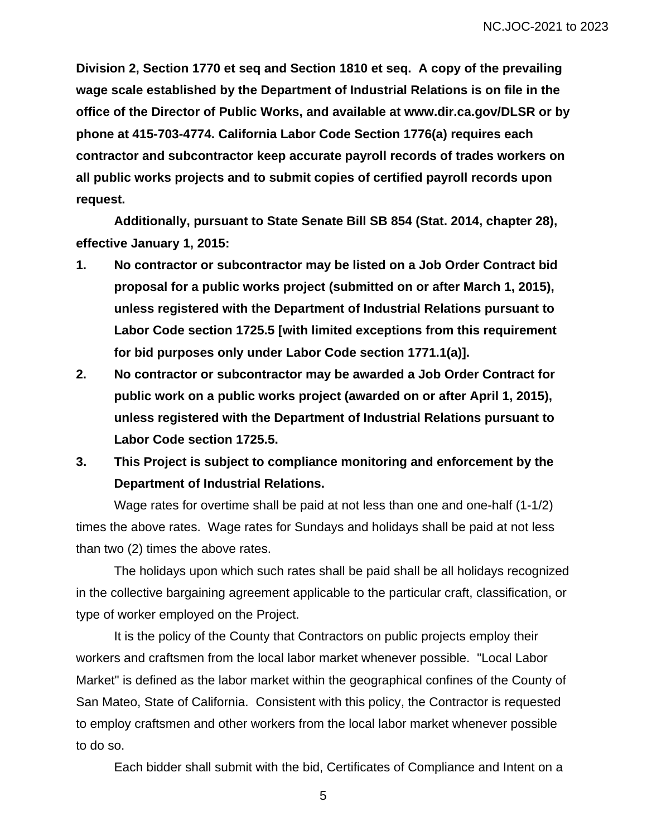**Division 2, Section 1770 et seq and Section 1810 et seq. A copy of the prevailing wage scale established by the Department of Industrial Relations is on file in the office of the Director of Public Works, and available at www.dir.ca.gov/DLSR or by phone at 415-703-4774. California Labor Code Section 1776(a) requires each contractor and subcontractor keep accurate payroll records of trades workers on all public works projects and to submit copies of certified payroll records upon request.** 

**Additionally, pursuant to State Senate Bill SB 854 (Stat. 2014, chapter 28), effective January 1, 2015:** 

- **1. No contractor or subcontractor may be listed on a Job Order Contract bid proposal for a public works project (submitted on or after March 1, 2015), unless registered with the Department of Industrial Relations pursuant to Labor Code section 1725.5 [with limited exceptions from this requirement for bid purposes only under Labor Code section 1771.1(a)].**
- **2. No contractor or subcontractor may be awarded a Job Order Contract for public work on a public works project (awarded on or after April 1, 2015), unless registered with the Department of Industrial Relations pursuant to Labor Code section 1725.5.**
- **3. This Project is subject to compliance monitoring and enforcement by the Department of Industrial Relations.**

Wage rates for overtime shall be paid at not less than one and one-half (1-1/2) times the above rates. Wage rates for Sundays and holidays shall be paid at not less than two (2) times the above rates.

The holidays upon which such rates shall be paid shall be all holidays recognized in the collective bargaining agreement applicable to the particular craft, classification, or type of worker employed on the Project.

It is the policy of the County that Contractors on public projects employ their workers and craftsmen from the local labor market whenever possible. "Local Labor Market" is defined as the labor market within the geographical confines of the County of San Mateo, State of California. Consistent with this policy, the Contractor is requested to employ craftsmen and other workers from the local labor market whenever possible to do so.

Each bidder shall submit with the bid, Certificates of Compliance and Intent on a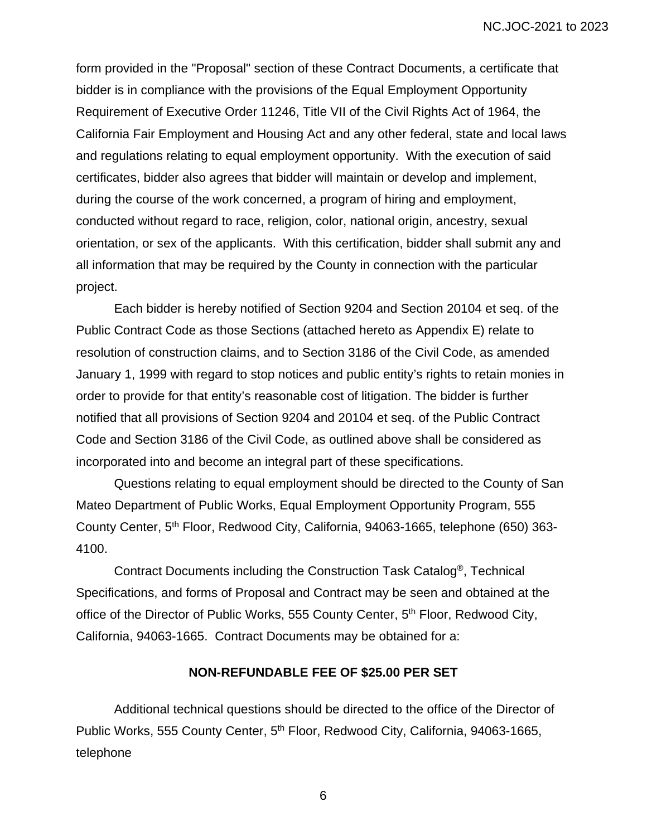form provided in the "Proposal" section of these Contract Documents, a certificate that bidder is in compliance with the provisions of the Equal Employment Opportunity Requirement of Executive Order 11246, Title VII of the Civil Rights Act of 1964, the California Fair Employment and Housing Act and any other federal, state and local laws and regulations relating to equal employment opportunity. With the execution of said certificates, bidder also agrees that bidder will maintain or develop and implement, during the course of the work concerned, a program of hiring and employment, conducted without regard to race, religion, color, national origin, ancestry, sexual orientation, or sex of the applicants. With this certification, bidder shall submit any and all information that may be required by the County in connection with the particular project.

Each bidder is hereby notified of Section 9204 and Section 20104 et seq. of the Public Contract Code as those Sections (attached hereto as Appendix E) relate to resolution of construction claims, and to Section 3186 of the Civil Code, as amended January 1, 1999 with regard to stop notices and public entity's rights to retain monies in order to provide for that entity's reasonable cost of litigation. The bidder is further notified that all provisions of Section 9204 and 20104 et seq. of the Public Contract Code and Section 3186 of the Civil Code, as outlined above shall be considered as incorporated into and become an integral part of these specifications.

Questions relating to equal employment should be directed to the County of San Mateo Department of Public Works, Equal Employment Opportunity Program, 555 County Center, 5<sup>th</sup> Floor, Redwood City, California, 94063-1665, telephone (650) 363-4100.

Contract Documents including the Construction Task Catalog®, Technical Specifications, and forms of Proposal and Contract may be seen and obtained at the office of the Director of Public Works, 555 County Center, 5<sup>th</sup> Floor, Redwood City, California, 94063-1665. Contract Documents may be obtained for a:

#### **NON-REFUNDABLE FEE OF \$25.00 PER SET**

Additional technical questions should be directed to the office of the Director of Public Works, 555 County Center, 5th Floor, Redwood City, California, 94063-1665, telephone